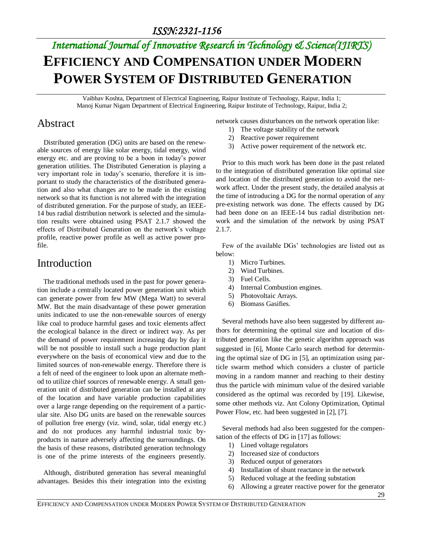# *International Journal of Innovative Research in Technology & Science(IJIRTS)* **EFFICIENCY AND COMPENSATION UNDER MODERN POWER SYSTEM OF DISTRIBUTED GENERATION**

Vaibhav Koshta, Department of Electrical Engineering, Raipur Institute of Technology, Raipur, India 1; Manoj Kumar Nigam Department of Electrical Engineering, Raipur Institute of Technology, Raipur, India 2;

#### Abstract

Distributed generation (DG) units are based on the renewable sources of energy like solar energy, tidal energy, wind energy etc. and are proving to be a boon in today's power generation utilities. The Distributed Generation is playing a very important role in today's scenario, therefore it is important to study the characteristics of the distributed generation and also what changes are to be made in the existing network so that its function is not altered with the integration of distributed generation. For the purpose of study, an IEEE-14 bus radial distribution network is selected and the simulation results were obtained using PSAT 2.1.7 showed the effects of Distributed Generation on the network's voltage profile, reactive power profile as well as active power profile.

#### **Introduction**

The traditional methods used in the past for power generation include a centrally located power generation unit which can generate power from few MW (Mega Watt) to several MW. But the main disadvantage of these power generation units indicated to use the non-renewable sources of energy like coal to produce harmful gases and toxic elements affect the ecological balance in the direct or indirect way. As per the demand of power requirement increasing day by day it will be not possible to install such a huge production plant everywhere on the basis of economical view and due to the limited sources of non-renewable energy. Therefore there is a felt of need of the engineer to look upon an alternate method to utilize chief sources of renewable energy. A small generation unit of distributed generation can be installed at any of the location and have variable production capabilities over a large range depending on the requirement of a particular site. Also DG units are based on the renewable sources of pollution free energy (viz. wind, solar, tidal energy etc.) and do not produces any harmful industrial toxic byproducts in nature adversely affecting the surroundings. On the basis of these reasons, distributed generation technology is one of the prime interests of the engineers presently.

Although, distributed generation has several meaningful advantages. Besides this their integration into the existing network causes disturbances on the network operation like:

- 1) The voltage stability of the network
- 2) Reactive power requirement
- 3) Active power requirement of the network etc.

Prior to this much work has been done in the past related to the integration of distributed generation like optimal size and location of the distributed generation to avoid the network affect. Under the present study, the detailed analysis at the time of introducing a DG for the normal operation of any pre-existing network was done. The effects caused by DG had been done on an IEEE-14 bus radial distribution network and the simulation of the network by using PSAT 2.1.7.

Few of the available DGs' technologies are listed out as below:

- 1) Micro Turbines.
- 2) Wind Turbines.
- 3) Fuel Cells.
- 4) Internal Combustion engines.
- 5) Photovoltaic Arrays.
- 6) Biomass Gasifies.

Several methods have also been suggested by different authors for determining the optimal size and location of distributed generation like the genetic algorithm approach was suggested in [6], Monte Carlo search method for determining the optimal size of DG in [5], an optimization using particle swarm method which considers a cluster of particle moving in a random manner and reaching to their destiny thus the particle with minimum value of the desired variable considered as the optimal was recorded by [19]. Likewise, some other methods viz. Ant Colony Optimization, Optimal Power Flow, etc. had been suggested in [2], [7].

Several methods had also been suggested for the compensation of the effects of DG in [17] as follows:

- 1) Lined voltage regulators
- 2) Increased size of conductors
- 3) Reduced output of generators
- 4) Installation of shunt reactance in the network
- 5) Reduced voltage at the feeding substation
- 6) Allowing a greater reactive power for the generator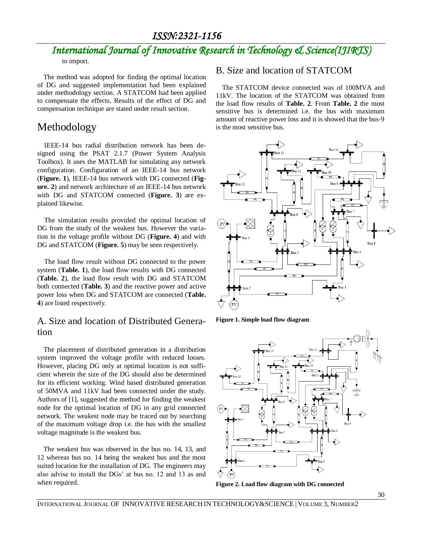#### *ISSN:2321-1156*

## *International Journal of Innovative Research in Technology & Science(IJIRTS)*

to import.

The method was adopted for finding the optimal location of DG and suggested implementation had been explained under methodology section. A STATCOM had been applied to compensate the effects. Results of the effect of DG and compensation technique are stated under result section.

#### Methodology

IEEE-14 bus radial distribution network has been designed using the PSAT 2.1.7 (Power System Analysis Toolbox). It uses the MATLAB for simulating any network configuration. Configuration of an IEEE-14 bus network (**Figure. 1**), IEEE-14 bus network with DG connected (**Figure. 2**) and network architecture of an IEEE-14 bus network with DG and STATCOM connected (**Figure. 3**) are explained likewise.

The simulation results provided the optimal location of DG from the study of the weakest bus. However the variation in the voltage profile without DG (**Figure. 4**) and with DG and STATCOM (**Figure. 5**) may be seen respectively.

The load flow result without DG connected to the power system (**Table. 1**), the load flow results with DG connected (**Table. 2**), the load flow result with DG and STATCOM both connected (**Table. 3**) and the reactive power and active power loss when DG and STATCOM are connected (**Table. 4**) are listed respectively.

#### A. Size and location of Distributed Generation

The placement of distributed generation in a distribution system improved the voltage profile with reduced losses. However, placing DG only at optimal location is not sufficient wherein the size of the DG should also be determined for its efficient working. Wind based distributed generation of 50MVA and 11kV had been connected under the study. Authors of [1], suggested the method for finding the weakest node for the optimal location of DG in any grid connected network. The weakest node may be traced out by searching of the maximum voltage drop i.e. the bus with the smallest voltage magnitude is the weakest bus.

The weakest bus was observed in the bus no. 14, 13, and 12 whereas bus no. 14 being the weakest bus and the most suited location for the installation of DG. The engineers may also advise to install the DGs' at bus no. 12 and 13 as and when required.

#### B. Size and location of STATCOM

The STATCOM device connected was of 100MVA and 11kV. The location of the STATCOM was obtained from the load flow results of **Table. 2**. From **Table. 2** the most sensitive bus is determined i.e. the bus with maximum amount of reactive power loss and it is showed that the bus-9 is the most sensitive bus.



**Figure 1. Simple load flow diagram**



**Figure 2. Load flow diagram with DG connected**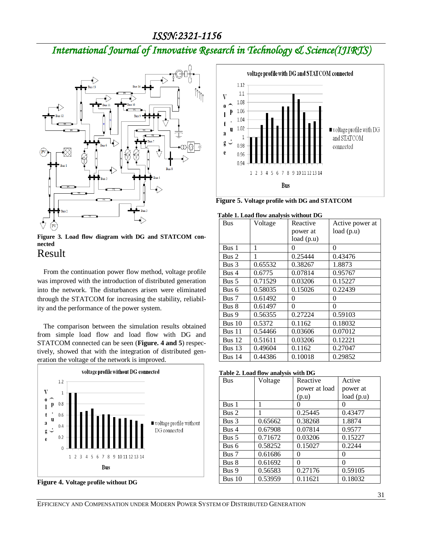## *International Journal of Innovative Research in Technology & Science(IJIRTS)*



**Figure 3. Load flow diagram with DG and STATCOM connected**

#### Result

From the continuation power flow method, voltage profile was improved with the introduction of distributed generation into the network. The disturbances arisen were eliminated through the STATCOM for increasing the stability, reliability and the performance of the power system.

The comparison between the simulation results obtained from simple load flow and load flow with DG and STATCOM connected can be seen (**Figure. 4 and 5**) respectively, showed that with the integration of distributed generation the voltage of the network is improved.



**Figure 4. Voltage profile without DG**



**Figure 5. Voltage profile with DG and STATCOM**

|  |  | Table 1. Load flow analysis without DG |
|--|--|----------------------------------------|
|--|--|----------------------------------------|

| Bus               | Voltage | Reactive  | Active power at |
|-------------------|---------|-----------|-----------------|
|                   |         | power at  | load(p.u)       |
|                   |         | load(p.u) |                 |
| Bus 1             | 1       | $\theta$  | 0               |
| Bus 2             | 1       | 0.25444   | 0.43476         |
| Bus 3             | 0.65532 | 0.38267   | 1.8873          |
| Bus 4             | 0.6775  | 0.07814   | 0.95767         |
| Bus $5$           | 0.71529 | 0.03206   | 0.15227         |
| Bus 6             | 0.58035 | 0.15026   | 0.22439         |
| Bus 7             | 0.61492 | $\theta$  | 0               |
| Bus 8             | 0.61497 | $\theta$  | 0               |
| Bus 9             | 0.56355 | 0.27224   | 0.59103         |
| Bus <sub>10</sub> | 0.5372  | 0.1162    | 0.18032         |
| Bus $11$          | 0.54466 | 0.03606   | 0.07012         |
| Bus $12$          | 0.51611 | 0.03206   | 0.12221         |
| Bus $13$          | 0.49604 | 0.1162    | 0.27047         |
| Bus $14$          | 0.44386 | 0.10018   | 0.29852         |

**Table 2. Load flow analysis with DG**

| <b>Bus</b>       | Voltage | Reactive      | Active    |
|------------------|---------|---------------|-----------|
|                  |         | power at load | power at  |
|                  |         | (p.u)         | load(p.u) |
| Bus 1            | 1       | 0             | $\theta$  |
| Bus 2            | 1       | 0.25445       | 0.43477   |
| Bus <sub>3</sub> | 0.65662 | 0.38268       | 1.8874    |
| Bus 4            | 0.67908 | 0.07814       | 0.9577    |
| Bus 5            | 0.71672 | 0.03206       | 0.15227   |
| Bus 6            | 0.58252 | 0.15027       | 0.2244    |
| Bus 7            | 0.61686 | 0             | 0         |
| Bus 8            | 0.61692 | 0             | 0         |
| Bus 9            | 0.56583 | 0.27176       | 0.59105   |
| Bus $10$         | 0.53959 | 0.11621       | 0.18032   |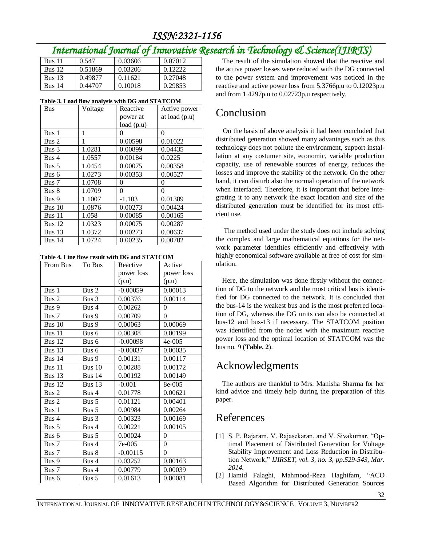## *ISSN:2321-1156*

## *International Journal of Innovative Research in Technology & Science(IJIRTS)*

| <b>Bus 11</b> | 0.547   | 0.03606 | 0.07012 |
|---------------|---------|---------|---------|
| <b>Bus</b> 12 | 0.51869 | 0.03206 | 0.12222 |
| <b>Bus</b> 13 | 0.49877 | 0.11621 | 0.27048 |
| <b>Bus 14</b> | 0.44707 | 0.10018 | 0.29853 |

| <b>Bus</b> | Voltage | Reactive  | Active power  |
|------------|---------|-----------|---------------|
|            |         | power at  | at load (p.u) |
|            |         | load(p.u) |               |
| Bus 1      | 1       | 0         | 0             |
| Bus 2      | 1       | 0.00598   | 0.01022       |
| Bus 3      | 1.0281  | 0.00899   | 0.04435       |
| Bus 4      | 1.0557  | 0.00184   | 0.0225        |
| Bus $5$    | 1.0454  | 0.00075   | 0.00358       |
| Bus 6      | 1.0273  | 0.00353   | 0.00527       |
| Bus 7      | 1.0708  | 0         | 0             |
| Bus 8      | 1.0709  | $\theta$  | $\theta$      |
| Bus 9      | 1.1007  | $-1.103$  | 0.01389       |
| Bus $10$   | 1.0876  | 0.00273   | 0.00424       |
| Bus 11     | 1.058   | 0.00085   | 0.00165       |
| Bus 12     | 1.0323  | 0.00075   | 0.00287       |
| Bus $13$   | 1.0372  | 0.00273   | 0.00637       |
| Bus $14$   | 1.0724  | 0.00235   | 0.00702       |

|  |  |  |  |  | Table 4. Line flow result with DG and STATCOM |
|--|--|--|--|--|-----------------------------------------------|
|--|--|--|--|--|-----------------------------------------------|

| From Bus            | To Bus        | Reactive   | Active     |
|---------------------|---------------|------------|------------|
|                     |               | power loss | power loss |
|                     |               | (p.u)      | (p.u)      |
| Bus 1               | Bus 2         | $-0.00059$ | 0.00013    |
| Bus 2               | Bus 3         | 0.00376    | 0.00114    |
| Bus 9               | Bus 4         | 0.00262    | $\theta$   |
| Bus 7               | Bus 9         | 0.00709    | $\theta$   |
| Bus 10              | Bus 9         | 0.00063    | 0.00069    |
| Bus 11              | Bus 6         | 0.00308    | 0.00199    |
| <b>Bus 12</b>       | Bus 6         | $-0.00098$ | $4e-005$   |
| Bus 13              | Bus 6         | $-0.00037$ | 0.00035    |
| Bus 14              | Bus 9         | 0.00131    | 0.00117    |
| Bus $1\overline{1}$ | <b>Bus 10</b> | 0.00288    | 0.00172    |
| Bus 13              | <b>Bus 14</b> | 0.00192    | 0.00149    |
| Bus 12              | <b>Bus 13</b> | $-0.001$   | 8e-005     |
| Bus 2               | Bus 4         | 0.01778    | 0.00621    |
| Bus 2               | Bus 5         | 0.01121    | 0.00401    |
| Bus 1               | Bus 5         | 0.00984    | 0.00264    |
| Bus 4               | Bus 3         | 0.00323    | 0.00169    |
| Bus 5               | Bus 4         | 0.00221    | 0.00105    |
| Bus 6               | Bus 5         | 0.00024    | $\theta$   |
| Bus 7               | Bus 4         | 7e-005     | $\theta$   |
| Bus 7               | Bus 8         | $-0.00115$ | $\theta$   |
| Bus 9               | Bus 4         | 0.03252    | 0.00163    |
| Bus 7               | Bus 4         | 0.00779    | 0.00039    |
| Bus 6               | Bus $5$       | 0.01613    | 0.00081    |

The result of the simulation showed that the reactive and the active power losses were reduced with the DG connected to the power system and improvement was noticed in the reactive and active power loss from 5.3766p.u to 0.12023p.u and from 1.4297p.u to 0.02723p.u respectively.

### Conclusion

On the basis of above analysis it had been concluded that distributed generation showed many advantages such as this technology does not pollute the environment, support installation at any costumer site, economic, variable production capacity, use of renewable sources of energy, reduces the losses and improve the stability of the network. On the other hand, it can disturb also the normal operation of the network when interfaced. Therefore, it is important that before integrating it to any network the exact location and size of the distributed generation must be identified for its most efficient use.

The method used under the study does not include solving the complex and large mathematical equations for the network parameter identities efficiently and effectively with highly economical software available at free of cost for simulation.

Here, the simulation was done firstly without the connection of DG to the network and the most critical bus is identified for DG connected to the network. It is concluded that the bus-14 is the weakest bus and is the most preferred location of DG, whereas the DG units can also be connected at bus-12 and bus-13 if necessary. The STATCOM position was identified from the nodes with the maximum reactive power loss and the optimal location of STATCOM was the bus no. 9 (**Table. 2**).

### Acknowledgments

The authors are thankful to Mrs. Manisha Sharma for her kind advice and timely help during the preparation of this paper.

### References

- [1] S. P. Rajaram, V. Rajasekaran, and V. Sivakumar, "Optimal Placement of Distributed Generation for Voltage Stability Improvement and Loss Reduction in Distribution Network," *IJIRSET, vol. 3, no. 3, pp.529-543, Mar. 2014.*
- [2] Hamid Falaghi, Mahmood-Reza Haghifam, "ACO Based Algorithm for Distributed Generation Sources